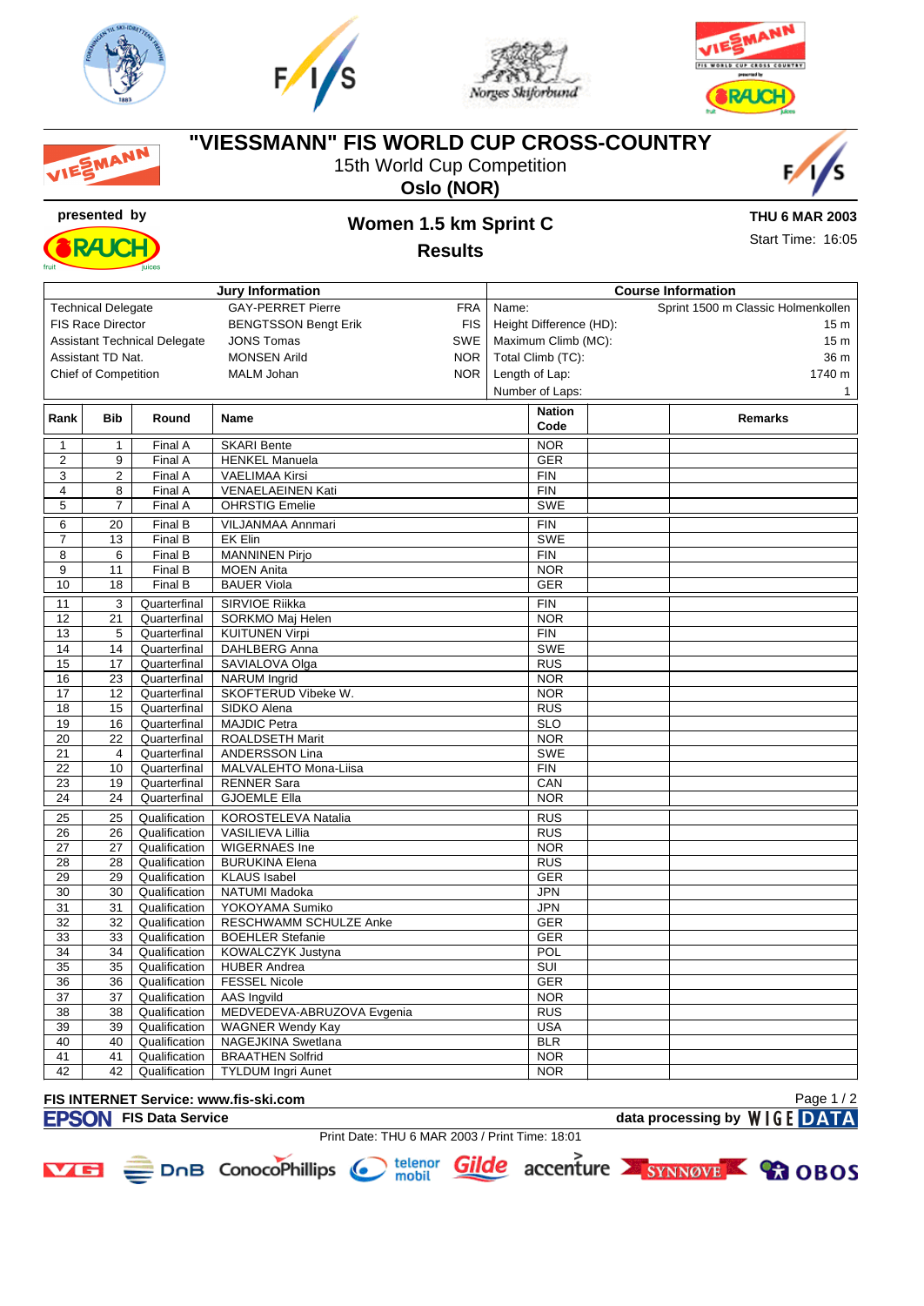

MANN







## **"VIESSMANN" FIS WORLD CUP CROSS-COUNTRY**

15th World Cup Competition







# **presented by Women 1.5 km Sprint C**

**THU 6 MAR 2003**

Start Time: 16:05

| <b>Jury Information</b>                                             |                                                                 |                                |                                               | <b>Course Information</b>                    |                          |  |                 |  |  |  |  |
|---------------------------------------------------------------------|-----------------------------------------------------------------|--------------------------------|-----------------------------------------------|----------------------------------------------|--------------------------|--|-----------------|--|--|--|--|
| <b>GAY-PERRET Pierre</b><br><b>FRA</b><br><b>Technical Delegate</b> |                                                                 |                                | Sprint 1500 m Classic Holmenkollen<br>Name:   |                                              |                          |  |                 |  |  |  |  |
|                                                                     | <b>FIS Race Director</b>                                        |                                | <b>BENGTSSON Bengt Erik</b><br><b>FIS</b>     | Height Difference (HD):                      |                          |  | 15 <sub>m</sub> |  |  |  |  |
|                                                                     | SWE<br><b>Assistant Technical Delegate</b><br><b>JONS Tomas</b> |                                |                                               | Maximum Climb (MC):                          |                          |  |                 |  |  |  |  |
|                                                                     | <b>NOR</b><br>Assistant TD Nat.<br><b>MONSEN Arild</b>          |                                |                                               | 15 <sub>m</sub><br>Total Climb (TC):<br>36 m |                          |  |                 |  |  |  |  |
|                                                                     | <b>Chief of Competition</b>                                     |                                | <b>MALM Johan</b><br><b>NOR</b>               |                                              |                          |  |                 |  |  |  |  |
|                                                                     |                                                                 |                                |                                               | Length of Lap:                               |                          |  | 1740 m          |  |  |  |  |
|                                                                     |                                                                 |                                |                                               | Number of Laps:                              |                          |  | 1               |  |  |  |  |
| Rank                                                                | <b>Bib</b>                                                      | Round                          | Name                                          |                                              | <b>Nation</b>            |  | Remarks         |  |  |  |  |
|                                                                     |                                                                 |                                |                                               |                                              | Code                     |  |                 |  |  |  |  |
| $\mathbf 1$                                                         | 1                                                               | Final A                        | <b>SKARI Bente</b>                            |                                              | <b>NOR</b>               |  |                 |  |  |  |  |
| $\overline{2}$                                                      | 9                                                               | Final A                        | <b>HENKEL Manuela</b>                         |                                              | <b>GER</b>               |  |                 |  |  |  |  |
| 3                                                                   | $\overline{2}$                                                  | Final A                        | <b>VAELIMAA Kirsi</b>                         |                                              | <b>FIN</b>               |  |                 |  |  |  |  |
| 4                                                                   | 8                                                               | Final A                        | <b>VENAELAEINEN Kati</b>                      |                                              | <b>FIN</b>               |  |                 |  |  |  |  |
| 5                                                                   | $\overline{7}$                                                  | Final A                        | <b>OHRSTIG Emelie</b>                         |                                              | <b>SWE</b>               |  |                 |  |  |  |  |
| 6                                                                   | 20                                                              | FinalB                         | VILJANMAA Annmari                             | <b>FIN</b>                                   |                          |  |                 |  |  |  |  |
| $\overline{7}$                                                      | 13                                                              | Final B                        | <b>EK Elin</b>                                | <b>SWE</b>                                   |                          |  |                 |  |  |  |  |
| $\overline{8}$                                                      | 6                                                               | Final B                        | <b>MANNINEN Pirjo</b>                         |                                              | <b>FIN</b>               |  |                 |  |  |  |  |
| 9                                                                   | 11                                                              | Final B                        | <b>MOEN Anita</b>                             |                                              | <b>NOR</b>               |  |                 |  |  |  |  |
| 10                                                                  | 18                                                              | Final B                        | <b>BAUER Viola</b>                            | <b>GER</b>                                   |                          |  |                 |  |  |  |  |
|                                                                     |                                                                 |                                |                                               |                                              |                          |  |                 |  |  |  |  |
| 11                                                                  | 3                                                               | Quarterfinal                   | SIRVIOE Riikka                                |                                              | <b>FIN</b>               |  |                 |  |  |  |  |
| 12                                                                  | 21                                                              | Quarterfinal                   | SORKMO Maj Helen                              |                                              | <b>NOR</b>               |  |                 |  |  |  |  |
| 13<br>14                                                            | 5<br>14                                                         | Quarterfinal                   | <b>KUITUNEN Virpi</b>                         |                                              | <b>FIN</b><br><b>SWE</b> |  |                 |  |  |  |  |
|                                                                     |                                                                 | Quarterfinal                   | <b>DAHLBERG Anna</b>                          |                                              |                          |  |                 |  |  |  |  |
| 15                                                                  | 17                                                              | Quarterfinal                   | SAVIALOVA Olga                                |                                              | <b>RUS</b>               |  |                 |  |  |  |  |
| 16<br>17                                                            | 23<br>12                                                        | Quarterfinal<br>Quarterfinal   | <b>NARUM</b> Ingrid<br>SKOFTERUD Vibeke W.    |                                              | <b>NOR</b><br><b>NOR</b> |  |                 |  |  |  |  |
| 18                                                                  | 15                                                              | Quarterfinal                   | SIDKO Alena                                   |                                              | <b>RUS</b>               |  |                 |  |  |  |  |
| 19                                                                  | 16                                                              | Quarterfinal                   | <b>MAJDIC Petra</b>                           |                                              | <b>SLO</b>               |  |                 |  |  |  |  |
| $\overline{20}$                                                     | $\overline{22}$                                                 | Quarterfinal                   | <b>ROALDSETH Marit</b>                        |                                              | <b>NOR</b>               |  |                 |  |  |  |  |
| 21                                                                  | 4                                                               | Quarterfinal                   | ANDERSSON Lina                                |                                              | <b>SWE</b>               |  |                 |  |  |  |  |
| 22                                                                  | 10                                                              | Quarterfinal                   | MALVALEHTO Mona-Liisa                         |                                              | <b>FIN</b>               |  |                 |  |  |  |  |
| 23                                                                  | 19                                                              | Quarterfinal                   | <b>RENNER Sara</b>                            |                                              | CAN                      |  |                 |  |  |  |  |
| 24                                                                  | 24                                                              | Quarterfinal                   | <b>GJOEMLE Ella</b>                           | <b>NOR</b>                                   |                          |  |                 |  |  |  |  |
|                                                                     |                                                                 |                                |                                               |                                              |                          |  |                 |  |  |  |  |
| 25                                                                  | 25                                                              | Qualification                  | KOROSTELEVA Natalia                           |                                              | <b>RUS</b>               |  |                 |  |  |  |  |
| 26                                                                  | 26                                                              | Qualification                  | <b>VASILIEVA Lillia</b>                       |                                              | <b>RUS</b>               |  |                 |  |  |  |  |
| 27                                                                  | 27                                                              | Qualification                  | <b>WIGERNAES Ine</b>                          |                                              | <b>NOR</b>               |  |                 |  |  |  |  |
| 28                                                                  | 28                                                              | Qualification                  | <b>BURUKINA Elena</b>                         |                                              | <b>RUS</b>               |  |                 |  |  |  |  |
| 29                                                                  | 29                                                              | Qualification                  | <b>KLAUS Isabel</b>                           |                                              | <b>GER</b>               |  |                 |  |  |  |  |
| 30                                                                  | 30                                                              | Qualification                  | NATUMI Madoka                                 |                                              | JPN                      |  |                 |  |  |  |  |
| 31                                                                  | 31                                                              | Qualification                  | YOKOYAMA Sumiko                               |                                              | <b>JPN</b>               |  |                 |  |  |  |  |
| 32                                                                  | 32                                                              | Qualification                  | RESCHWAMM SCHULZE Anke                        |                                              | <b>GER</b>               |  |                 |  |  |  |  |
| $\overline{33}$                                                     | 33                                                              | Qualification                  | <b>BOEHLER Stefanie</b>                       |                                              | <b>GER</b>               |  |                 |  |  |  |  |
| 34                                                                  | 34                                                              | Qualification                  | KOWALCZYK Justyna                             |                                              | POL                      |  |                 |  |  |  |  |
| 35<br>36                                                            | 35<br>36                                                        | Qualification                  | <b>HUBER Andrea</b><br><b>FESSEL Nicole</b>   |                                              | SUI<br><b>GER</b>        |  |                 |  |  |  |  |
| 37                                                                  | 37                                                              | Qualification                  |                                               |                                              | <b>NOR</b>               |  |                 |  |  |  |  |
| 38                                                                  | 38                                                              | Qualification<br>Qualification | AAS Ingvild<br>MEDVEDEVA-ABRUZOVA Evgenia     |                                              | <b>RUS</b>               |  |                 |  |  |  |  |
| 39                                                                  | 39                                                              | Qualification                  |                                               |                                              | <b>USA</b>               |  |                 |  |  |  |  |
| 40                                                                  | 40                                                              | Qualification                  | <b>WAGNER Wendy Kay</b><br>NAGEJKINA Swetlana |                                              | <b>BLR</b>               |  |                 |  |  |  |  |
| 41                                                                  | 41                                                              | Qualification                  | <b>BRAATHEN Solfrid</b>                       |                                              | <b>NOR</b>               |  |                 |  |  |  |  |
| 42                                                                  | 42                                                              | Qualification                  |                                               |                                              | <b>NOR</b>               |  |                 |  |  |  |  |
|                                                                     |                                                                 |                                | <b>TYLDUM Ingri Aunet</b>                     |                                              |                          |  |                 |  |  |  |  |

#### **FIS INTERNET Service: www.fis-ski.com**

**FISON** FIS Data Service data processing by WIGE DATA

Print Date: THU 6 MAR 2003 / Print Time: 18:01





- 
-